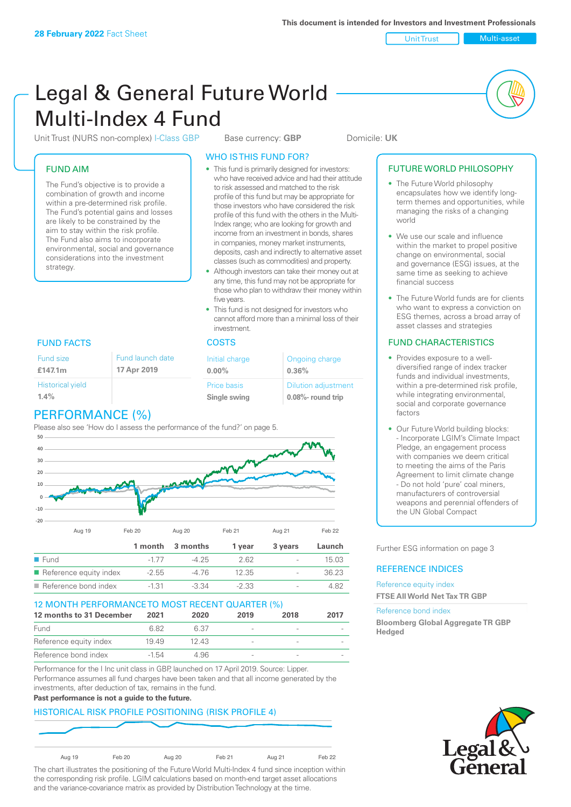Unit Trust Nulti-asset

# Legal & General Future World Multi-Index 4 Fund

Unit Trust (NURS non-complex) I-Class GBP Base currency: **GBP** Domicile: UK

#### FUND AIM

The Fund's objective is to provide a combination of growth and income within a pre-determined risk profile. The Fund's potential gains and losses are likely to be constrained by the aim to stay within the risk profile. The Fund also aims to incorporate environmental, social and governance considerations into the investment strategy.

#### WHO IS THIS FUND FOR?

- This fund is primarily designed for investors: who have received advice and had their attitude to risk assessed and matched to the risk profile of this fund but may be appropriate for those investors who have considered the risk profile of this fund with the others in the Multi-Index range; who are looking for growth and income from an investment in bonds, shares in companies, money market instruments, deposits, cash and indirectly to alternative asset classes (such as commodities) and property.
- Although investors can take their money out at any time, this fund may not be appropriate for those who plan to withdraw their money within five years.
- This fund is not designed for investors who cannot afford more than a minimal loss of their investment.

| <b>Fund launch date</b><br>17 Apr 2019 | Initial charge<br>$0.00\%$  | Ongoing charge<br>0.36%                             |  |
|----------------------------------------|-----------------------------|-----------------------------------------------------|--|
|                                        | Price basis<br>Single swing | <b>Dilution adjustment</b><br>$0.08\%$ - round trip |  |

### FUND FACTS COSTS

Fund size **£147.1m**

| <b>Historical yield</b> |  |
|-------------------------|--|
| $1.4\%$                 |  |
|                         |  |

## PERFORMANCE (%)

Please also see 'How do I assess the performance of the fund?' on page 5.



#### 12 MONTH PERFORMANCE TO MOST RECENT QUARTER (%)

| 12 months to 31 December | 2021  | 2020  | 2019                     | 2018                     | 2017 |
|--------------------------|-------|-------|--------------------------|--------------------------|------|
| Fund                     | 682   | 6.37  | $\sim$                   | $\overline{\phantom{a}}$ |      |
| Reference equity index   | 1949  | 12.43 |                          |                          |      |
| Reference bond index     | -1.54 | 4.96  | $\overline{\phantom{a}}$ | $\sim$                   |      |

Performance for the I Inc unit class in GBP, launched on 17 April 2019. Source: Lipper. Performance assumes all fund charges have been taken and that all income generated by the investments, after deduction of tax, remains in the fund.

#### **Past performance is not a guide to the future.**

#### HISTORICAL RISK PROFILE POSITIONING (RISK PROFILE 4)



The chart illustrates the positioning of the Future World Multi-Index 4 fund since inception within the corresponding risk profile. LGIM calculations based on month-end target asset allocations and the variance-covariance matrix as provided by Distribution Technology at the time.

#### FUTURE WORLD PHILOSOPHY

- The Future World philosophy encapsulates how we identify longterm themes and opportunities, while managing the risks of a changing world
- We use our scale and influence within the market to propel positive change on environmental, social and governance (ESG) issues, at the same time as seeking to achieve financial success
- The Future World funds are for clients who want to express a conviction on ESG themes, across a broad array of asset classes and strategies

#### FUND CHARACTERISTICS

- Provides exposure to a welldiversified range of index tracker funds and individual investments, within a pre-determined risk profile while integrating environmental, social and corporate governance factors
- Our Future World building blocks: - Incorporate LGIM's Climate Impact Pledge, an engagement process with companies we deem critical to meeting the aims of the Paris Agreement to limit climate change - Do not hold 'pure' coal miners, manufacturers of controversial weapons and perennial offenders of the UN Global Compact

Further ESG information on page 3

#### REFERENCE INDICES

#### Reference equity index **FTSE All World Net Tax TR GBP**

#### Reference bond index

**Bloomberg Global Aggregate TR GBP Hedged**

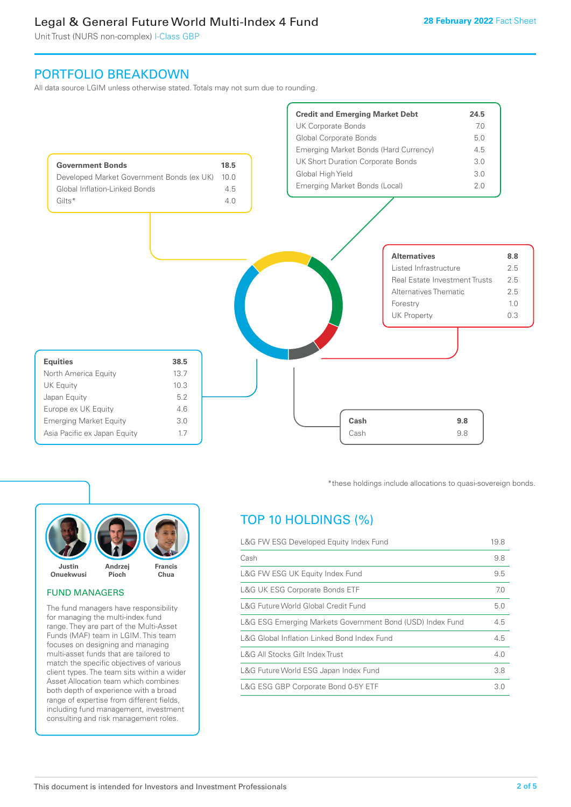Unit Trust (NURS non-complex) I-Class GBP

## PORTFOLIO BREAKDOWN

All data source LGIM unless otherwise stated. Totals may not sum due to rounding.





#### FUND MANAGERS

The fund managers have responsibility for managing the multi-index fund range. They are part of the Multi-Asset Funds (MAF) team in LGIM. This team focuses on designing and managing multi-asset funds that are tailored to match the specific objectives of various client types. The team sits within a wider Asset Allocation team which combines both depth of experience with a broad range of expertise from different fields, including fund management, investment consulting and risk management roles.

\*these holdings include allocations to quasi-sovereign bonds.

## TOP 10 HOLDINGS (%)

| L&G FW ESG Developed Equity Index Fund                    |     |  |
|-----------------------------------------------------------|-----|--|
| Cash                                                      | 9.8 |  |
| L&G FW ESG UK Equity Index Fund                           | 9.5 |  |
| <b>L&amp;G UK ESG Corporate Bonds ETF</b>                 | 7.0 |  |
| L&G Future World Global Credit Fund                       | 5.0 |  |
| L&G ESG Emerging Markets Government Bond (USD) Index Fund | 4.5 |  |
| L&G Global Inflation Linked Bond Index Fund               |     |  |
| L&G All Stocks Gilt Index Trust                           | 4.0 |  |
| L&G Future World ESG Japan Index Fund                     | 3.8 |  |
| L&G ESG GBP Corporate Bond 0-5Y ETF                       |     |  |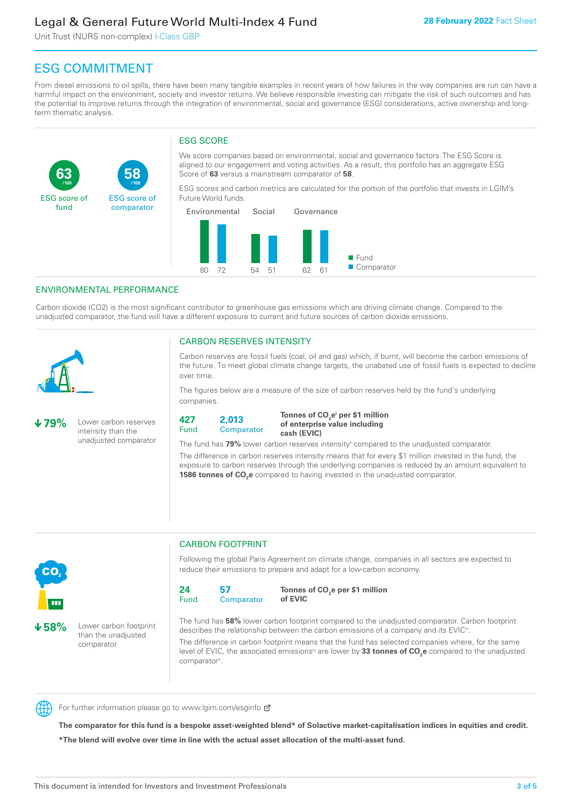Unit Trust (NURS non-complex) I-Class GBP

**58**

ESG score of comparator

## ESG COMMITMENT

From diesel emissions to oil spills, there have been many tangible examples in recent years of how failures in the way companies are run can have a harmful impact on the environment, society and investor returns. We believe responsible investing can mitigate the risk of such outcomes and has the potential to improve returns through the integration of environmental, social and governance (ESG) considerations, active ownership and longterm thematic analysis.

### ESG SCORE

We score companies based on environmental, social and governance factors. The ESG Score is aligned to our engagement and voting activities. As a result, this portfolio has an aggregate ESG Score of **63** versus a mainstream comparator of **58**.

ESG scores and carbon metrics are calculated for the portion of the portfolio that invests in LGIM's Future World funds.



#### ENVIRONMENTAL PERFORMANCE

**/100 /100**

Carbon dioxide (CO2) is the most significant contributor to greenhouse gas emissions which are driving climate change. Compared to the unadjusted comparator, the fund will have a different exposure to current and future sources of carbon dioxide emissions.



**63**

ESG score of fund

#### CARBON RESERVES INTENSITY

Carbon reserves are fossil fuels (coal, oil and gas) which, if burnt, will become the carbon emissions of the future. To meet global climate change targets, the unabated use of fossil fuels is expected to decline over time.

The figures below are a measure of the size of carbon reserves held by the fund's underlying companies.

**79%** Lower carbon reserves intensity than the unadjusted comparator



Tonnes of CO<sub>2</sub>e<sup>i</sup> per \$1 million **of enterprise value including cash (EVIC)**

The fund has 79% lower carbon reserves intensity<sup>ii</sup> compared to the unadjusted comparator.

The difference in carbon reserves intensity means that for every \$1 million invested in the fund, the exposure to carbon reserves through the underlying companies is reduced by an amount equivalent to **1586 tonnes of CO<sub>2</sub>e** compared to having invested in the unadjusted comparator.



**58%** Lower carbon footprint than the unadjusted comparator

#### CARBON FOOTPRINT

Following the global Paris Agreement on climate change, companies in all sectors are expected to reduce their emissions to prepare and adapt for a low-carbon economy.



**Tonnes of CO2 e per \$1 million of EVIC**

The fund has **58%** lower carbon footprint compared to the unadjusted comparator. Carbon footprint describes the relationship between the carbon emissions of a company and its EVIC<sup>ii</sup>.

The difference in carbon footprint means that the fund has selected companies where, for the same level of EVIC, the associated emissions<sup>iv</sup> are lower by 33 tonnes of CO<sub>2</sub>e compared to the unadjusted comparator<sup>v</sup>.



For further information please go to www.lgim.com/esginfo Ø

**The comparator for this fund is a bespoke asset-weighted blend\* of Solactive market-capitalisation indices in equities and credit. \*The blend will evolve over time in line with the actual asset allocation of the multi-asset fund.**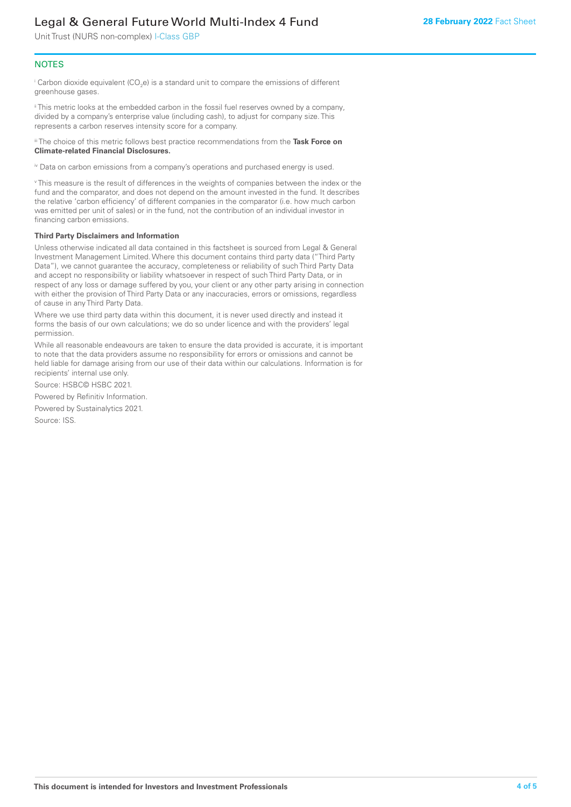Unit Trust (NURS non-complex) I-Class GBP

#### **NOTES**

 $^\mathrm{i}$  Carbon dioxide equivalent (CO<sub>2</sub>e) is a standard unit to compare the emissions of different greenhouse gases.

ii This metric looks at the embedded carbon in the fossil fuel reserves owned by a company, divided by a company's enterprise value (including cash), to adjust for company size. This represents a carbon reserves intensity score for a company.

iii The choice of this metric follows best practice recommendations from the **Task Force on Climate-related Financial Disclosures.**

iv Data on carbon emissions from a company's operations and purchased energy is used.

v This measure is the result of differences in the weights of companies between the index or the fund and the comparator, and does not depend on the amount invested in the fund. It describes the relative 'carbon efficiency' of different companies in the comparator (i.e. how much carbon was emitted per unit of sales) or in the fund, not the contribution of an individual investor in financing carbon emissions.

#### **Third Party Disclaimers and Information**

Unless otherwise indicated all data contained in this factsheet is sourced from Legal & General Investment Management Limited. Where this document contains third party data ("Third Party Data"), we cannot guarantee the accuracy, completeness or reliability of such Third Party Data and accept no responsibility or liability whatsoever in respect of such Third Party Data, or in respect of any loss or damage suffered by you, your client or any other party arising in connection with either the provision of Third Party Data or any inaccuracies, errors or omissions, regardless of cause in any Third Party Data.

Where we use third party data within this document, it is never used directly and instead it forms the basis of our own calculations; we do so under licence and with the providers' legal permission.

While all reasonable endeavours are taken to ensure the data provided is accurate, it is important to note that the data providers assume no responsibility for errors or omissions and cannot be held liable for damage arising from our use of their data within our calculations. Information is for recipients' internal use only.

Source: HSBC© HSBC 2021.

Powered by Refinitiv Information.

Powered by Sustainalytics 2021.

Source: ISS.